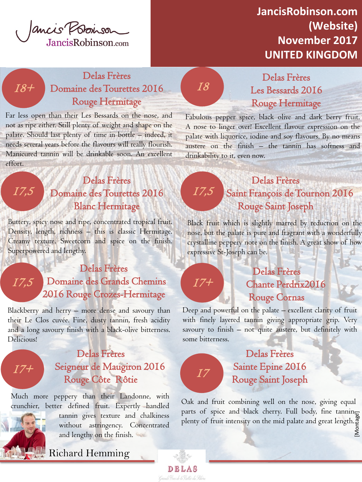

## **JancisRobinson.com (Website) November 2017 UNITED KINGDOM**

### Delas Frères 18+ Domaine des Tourettes 2016 18 Rouge Hermitage

Far less open than their Les Bessards on the nose, and not as ripe either. Still plenty of weight and shape on the palate. Should last plenty of time in bottle – indeed, it needs several years before the flavours will really flourish. Manicured tannin will be drinkable soon. An excellent effort.

#### Delas Frères Domaine des Tourettes 2016 Blanc Hermitage

Buttery, spicy nose and ripe, concentrated tropical fruit. Density, length, richness – this is classic Hermitage. Creamy texture. Sweetcorn and spice on the finish. Superpowered and lengthy.

#### Delas Frères Domaine des Grands Chemins 2016 Rouge Crozes-Hermitage 17,5

 Blackberry and herry – more dense and savoury than their Le Clos cuvée. Fine, dusty tannin, fresh acidity and a long savoury finish with a black-olive bitterness. Delicious!



17,5

#### Delas Frères Seigneur de Maugiron 2016 Rouge Côte Rôtie

Much more peppery than their Landonne, with crunchier, better defined fruit. Expertly handled



tannin gives texture and chalkiness without astringency. Concentrated and lengthy on the finish.

Delas Frères Les Bessards 2016 Rouge Hermitage

Fabulous pepper spice, black olive and dark berry fruit. A nose to linger over! Excellent flavour expression on the palate with liquorice, iodine and soy flavours. By no means austere on the finish – the tannin has softness and drinkability to it, even now.

## Delas Frères Saint François de Tournon 2016 Rouge Saint Joseph

 Black fruit which is slightly marred by reduction on the nose, but the palate is pure and fragrant with a wonderfully crystalline peppery note on the finish. A great show of how expressive St-Joseph can be.

17,5

 $I\overline{7+}$ 

17

DEL

#### Delas Frères Chante Perdrix2016 Rouge Cornas

Deep and powerful on the palate – excellent clarity of fruit with finely layered tannin giving appropriate grip. Very savoury to finish – not quite austere, but definitely with some bitterness.

### Delas Frères Sainte Epine 2016 Rouge Saint Joseph

parts of spice and black cherry. Full body, fine tannin<sub>ge</sub><br>plenty of fruit intensity on the mid palate and great length.<br>E Oak and fruit combining well on the nose, giving equal plenty of fruit intensity on the mid palate and great length.